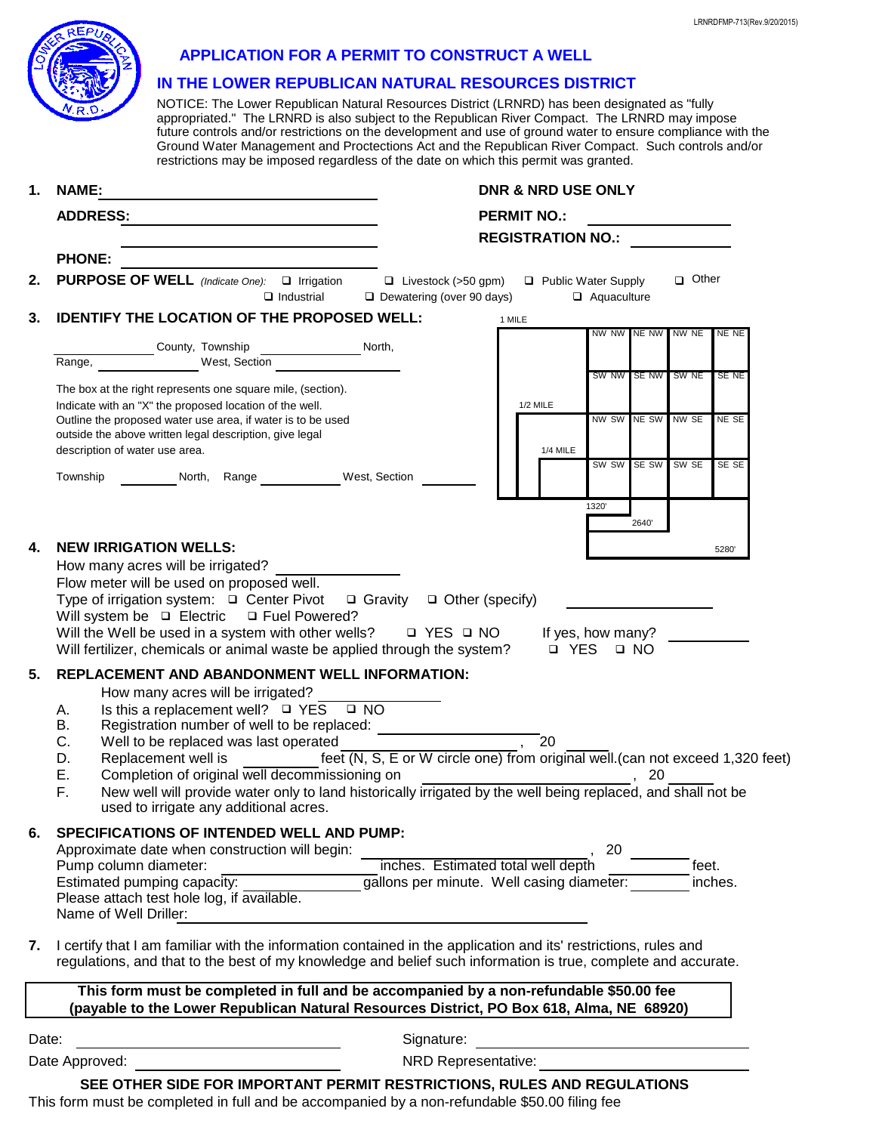|    |                                                                                                                                    |                                                                                                                                                                                                                                                                                                                                                                                                                                                                                                                | LRNRDFMP-713(Rev.9/20/201 |  |
|----|------------------------------------------------------------------------------------------------------------------------------------|----------------------------------------------------------------------------------------------------------------------------------------------------------------------------------------------------------------------------------------------------------------------------------------------------------------------------------------------------------------------------------------------------------------------------------------------------------------------------------------------------------------|---------------------------|--|
|    |                                                                                                                                    | <b>APPLICATION FOR A PERMIT TO CONSTRUCT A WELL</b>                                                                                                                                                                                                                                                                                                                                                                                                                                                            |                           |  |
|    |                                                                                                                                    | IN THE LOWER REPUBLICAN NATURAL RESOURCES DISTRICT                                                                                                                                                                                                                                                                                                                                                                                                                                                             |                           |  |
|    |                                                                                                                                    | NOTICE: The Lower Republican Natural Resources District (LRNRD) has been designated as "fully<br>appropriated." The LRNRD is also subject to the Republican River Compact. The LRNRD may impose<br>future controls and/or restrictions on the development and use of ground water to ensure compliance with the<br>Ground Water Management and Proctections Act and the Republican River Compact. Such controls and/or<br>restrictions may be imposed regardless of the date on which this permit was granted. |                           |  |
| 1. | <b>NAME:</b>                                                                                                                       | <b>DNR &amp; NRD USE ONLY</b>                                                                                                                                                                                                                                                                                                                                                                                                                                                                                  |                           |  |
|    | <b>ADDRESS:</b><br><u> 1989 - Johann Stoff, Amerikaansk politiker († 1908)</u>                                                     | <b>PERMIT NO.:</b>                                                                                                                                                                                                                                                                                                                                                                                                                                                                                             |                           |  |
|    |                                                                                                                                    | <b>REGISTRATION NO.:</b>                                                                                                                                                                                                                                                                                                                                                                                                                                                                                       |                           |  |
| 2. | <b>PHONE:</b><br><b>PURPOSE OF WELL</b> (Indicate One): <b>Q</b> Irrigation                                                        | □ Other<br>$\Box$ Livestock (>50 gpm)<br>□ Public Water Supply                                                                                                                                                                                                                                                                                                                                                                                                                                                 |                           |  |
|    | $\Box$ Industrial                                                                                                                  | $\Box$ Dewatering (over 90 days)<br>$\Box$ Aquaculture                                                                                                                                                                                                                                                                                                                                                                                                                                                         |                           |  |
| 3. | <b>IDENTIFY THE LOCATION OF THE PROPOSED WELL:</b><br>1 MILE<br>NW NW INE NW INW NE<br>NE NE                                       |                                                                                                                                                                                                                                                                                                                                                                                                                                                                                                                |                           |  |
|    | County, Township                                                                                                                   | North.                                                                                                                                                                                                                                                                                                                                                                                                                                                                                                         |                           |  |
|    | Range,<br>West, Section                                                                                                            | SW NW SE NW SW NE                                                                                                                                                                                                                                                                                                                                                                                                                                                                                              | SE NE                     |  |
|    | The box at the right represents one square mile, (section).<br>Indicate with an "X" the proposed location of the well.             | $1/2$ MILE                                                                                                                                                                                                                                                                                                                                                                                                                                                                                                     |                           |  |
|    | Outline the proposed water use area, if water is to be used<br>outside the above written legal description, give legal             | NW SW NE SW NW SE                                                                                                                                                                                                                                                                                                                                                                                                                                                                                              | NE SE                     |  |
|    | description of water use area.                                                                                                     | <b>1/4 MILE</b>                                                                                                                                                                                                                                                                                                                                                                                                                                                                                                |                           |  |
|    | Township North, Range West, Section                                                                                                | SW SW SE SW<br>SW SE                                                                                                                                                                                                                                                                                                                                                                                                                                                                                           | SE SE                     |  |
|    |                                                                                                                                    | 1320                                                                                                                                                                                                                                                                                                                                                                                                                                                                                                           |                           |  |
|    |                                                                                                                                    | 2640                                                                                                                                                                                                                                                                                                                                                                                                                                                                                                           |                           |  |
| 4. | <b>NEW IRRIGATION WELLS:</b><br>How many acres will be irrigated?                                                                  |                                                                                                                                                                                                                                                                                                                                                                                                                                                                                                                | 5280                      |  |
|    | Flow meter will be used on proposed well.                                                                                          |                                                                                                                                                                                                                                                                                                                                                                                                                                                                                                                |                           |  |
|    | Type of irrigation system: □ Center Pivot<br>$\Box$ Gravity<br>$\Box$ Other (specify)<br>Will system be Q Electric Q Fuel Powered? |                                                                                                                                                                                                                                                                                                                                                                                                                                                                                                                |                           |  |
|    | Will the Well be used in a system with other wells?                                                                                | □ YES □ NO<br>If yes, how many?                                                                                                                                                                                                                                                                                                                                                                                                                                                                                |                           |  |
|    | Will fertilizer, chemicals or animal waste be applied through the system?                                                          | <b>D</b> YES<br>D NO                                                                                                                                                                                                                                                                                                                                                                                                                                                                                           |                           |  |
| 5. | REPLACEMENT AND ABANDONMENT WELL INFORMATION:<br>How many acres will be irrigated?                                                 |                                                                                                                                                                                                                                                                                                                                                                                                                                                                                                                |                           |  |
|    | Is this a replacement well? $\Box$ YES<br>$\square$ NO<br>А.                                                                       |                                                                                                                                                                                                                                                                                                                                                                                                                                                                                                                |                           |  |
|    | Registration number of well to be replaced:<br>В.<br>С.<br>Well to be replaced was last operated                                   | 20                                                                                                                                                                                                                                                                                                                                                                                                                                                                                                             |                           |  |
|    | Replacement well is<br>D.<br>Ε.<br>Completion of original well decommissioning on                                                  | feet (N, S, E or W circle one) from original well. (can not exceed 1,320 feet)<br>20                                                                                                                                                                                                                                                                                                                                                                                                                           |                           |  |
|    | F.                                                                                                                                 | New well will provide water only to land historically irrigated by the well being replaced, and shall not be                                                                                                                                                                                                                                                                                                                                                                                                   |                           |  |
|    | used to irrigate any additional acres.                                                                                             |                                                                                                                                                                                                                                                                                                                                                                                                                                                                                                                |                           |  |
| 6. | SPECIFICATIONS OF INTENDED WELL AND PUMP:<br>Approximate date when construction will begin:                                        | 20                                                                                                                                                                                                                                                                                                                                                                                                                                                                                                             |                           |  |
|    | Pump column diameter:                                                                                                              | inches. Estimated total well depth                                                                                                                                                                                                                                                                                                                                                                                                                                                                             | feet.                     |  |
|    | Estimated pumping capacity:<br>Please attach test hole log, if available.                                                          | gallons per minute. Well casing diameter:                                                                                                                                                                                                                                                                                                                                                                                                                                                                      | inches.                   |  |
|    | Name of Well Driller:                                                                                                              |                                                                                                                                                                                                                                                                                                                                                                                                                                                                                                                |                           |  |
| 7. |                                                                                                                                    | I certify that I am familiar with the information contained in the application and its' restrictions, rules and<br>regulations, and that to the best of my knowledge and belief such information is true, complete and accurate.                                                                                                                                                                                                                                                                               |                           |  |
|    | This form must be completed in full and be accompanied by a non-refundable \$50.00 fee                                             |                                                                                                                                                                                                                                                                                                                                                                                                                                                                                                                |                           |  |
|    | (payable to the Lower Republican Natural Resources District, PO Box 618, Alma, NE 68920)                                           |                                                                                                                                                                                                                                                                                                                                                                                                                                                                                                                |                           |  |

Date: Signature:

Date Approved: NRD Representative:

This form must be completed in full and be accompanied by a non-refundable \$50.00 filing fee **SEE OTHER SIDE FOR IMPORTANT PERMIT RESTRICTIONS, RULES AND REGULATIONS**